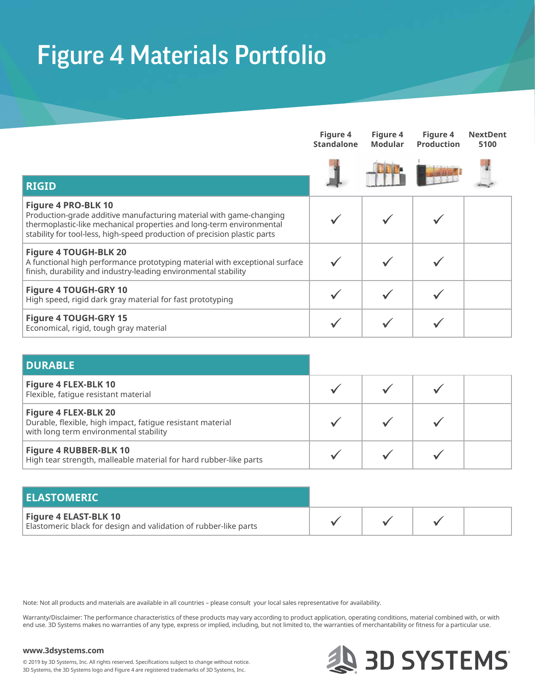## Figure 4 Materials Portfolio

|                                                                                                                                                                                                                                                        | Figure 4<br><b>Standalone</b> | Figure 4<br>Modular | Figure 4<br><b>Production</b> | <b>NextDent</b><br>5100 |
|--------------------------------------------------------------------------------------------------------------------------------------------------------------------------------------------------------------------------------------------------------|-------------------------------|---------------------|-------------------------------|-------------------------|
| <b>RIGID</b>                                                                                                                                                                                                                                           |                               |                     |                               |                         |
| <b>Figure 4 PRO-BLK 10</b><br>Production-grade additive manufacturing material with game-changing<br>thermoplastic-like mechanical properties and long-term environmental<br>stability for tool-less, high-speed production of precision plastic parts |                               |                     |                               |                         |
| <b>Figure 4 TOUGH-BLK 20</b><br>A functional high performance prototyping material with exceptional surface<br>finish, durability and industry-leading environmental stability                                                                         |                               |                     |                               |                         |
| <b>Figure 4 TOUGH-GRY 10</b><br>High speed, rigid dark gray material for fast prototyping                                                                                                                                                              |                               |                     |                               |                         |
| <b>Figure 4 TOUGH-GRY 15</b><br>Economical, rigid, tough gray material                                                                                                                                                                                 |                               |                     |                               |                         |

| <b>DURABLE</b>                                                                                                                      |  |  |
|-------------------------------------------------------------------------------------------------------------------------------------|--|--|
| <b>Figure 4 FLEX-BLK 10</b><br>Flexible, fatique resistant material                                                                 |  |  |
| <b>Figure 4 FLEX-BLK 20</b><br>Durable, flexible, high impact, fatigue resistant material<br>with long term environmental stability |  |  |
| <b>Figure 4 RUBBER-BLK 10</b><br>High tear strength, malleable material for hard rubber-like parts                                  |  |  |

| <b>ELASTOMERIC</b>                                                                               |  |  |
|--------------------------------------------------------------------------------------------------|--|--|
| <b>Figure 4 ELAST-BLK 10</b><br>Elastomeric black for design and validation of rubber-like parts |  |  |

Note: Not all products and materials are available in all countries – please consult your local sales representative for availability.

Warranty/Disclaimer: The performance characteristics of these products may vary according to product application, operating conditions, material combined with, or with end use. 3D Systems makes no warranties of any type, express or implied, including, but not limited to, the warranties of merchantability or fitness for a particular use.

## **www.3dsystems.com**



© 2019 by 3D Systems, Inc. All rights reserved. Specifications subject to change without notice. 3D Systems, the 3D Systems logo and Figure 4 are registered trademarks of 3D Systems, Inc.